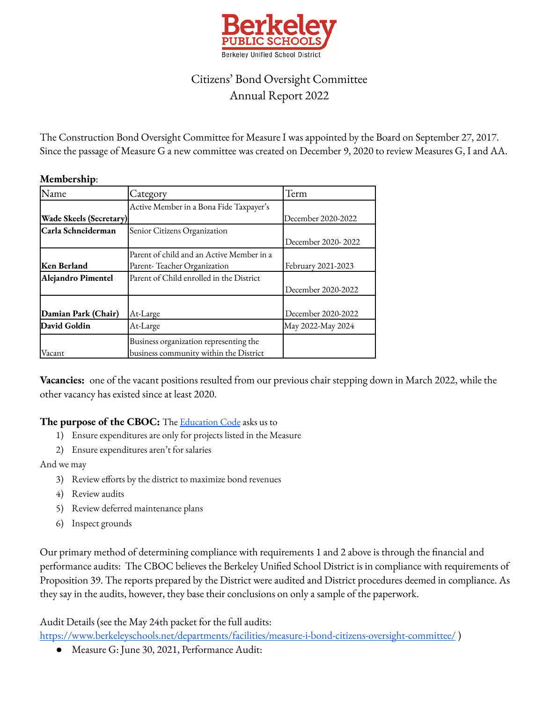

## Citizens' Bond Oversight Committee Annual Report 2022

The Construction Bond Oversight Committee for Measure I was appointed by the Board on September 27, 2017. Since the passage of Measure G a new committee was created on December 9, 2020 to review Measures G, I and AA.

## **Membership**:

| Name                           | Category                                  | Term               |
|--------------------------------|-------------------------------------------|--------------------|
|                                | Active Member in a Bona Fide Taxpayer's   |                    |
| <b>Wade Skeels (Secretary)</b> |                                           | December 2020-2022 |
| lCarla Schneiderman            | Senior Citizens Organization              |                    |
|                                |                                           | December 2020-2022 |
|                                | Parent of child and an Active Member in a |                    |
| Ken Berland                    | Parent-Teacher Organization               | February 2021-2023 |
| Alejandro Pimentel             | Parent of Child enrolled in the District  |                    |
|                                |                                           | December 2020-2022 |
|                                |                                           |                    |
| Damian Park (Chair)            | At-Large                                  | December 2020-2022 |
| David Goldin                   | At-Large                                  | May 2022-May 2024  |
|                                | Business organization representing the    |                    |
| Vacant                         | business community within the District    |                    |

**Vacancies:** one of the vacant positions resulted from our previous chair stepping down in March 2022, while the other vacancy has existed since at least 2020.

## **The purpose of the CBOC:** The [Education](https://leginfo.legislature.ca.gov/faces/codes_displaySection.xhtml?lawCode=EDC§ionNum=15278) Code asks us to

- 1) Ensure expenditures are only for projects listed in the Measure
- 2) Ensure expenditures aren't for salaries

And we may

- 3) Review efforts by the district to maximize bond revenues
- 4) Review audits
- 5) Review deferred maintenance plans
- 6) Inspect grounds

Our primary method of determining compliance with requirements 1 and 2 above is through the financial and performance audits: The CBOC believes the Berkeley Unified School District is in compliance with requirements of Proposition 39. The reports prepared by the District were audited and District procedures deemed in compliance. As they say in the audits, however, they base their conclusions on only a sample of the paperwork.

Audit Details (see the May 24th packet for the full audits:

<https://www.berkeleyschools.net/departments/facilities/measure-i-bond-citizens-oversight-committee/> )

● Measure G: June 30, 2021, Performance Audit: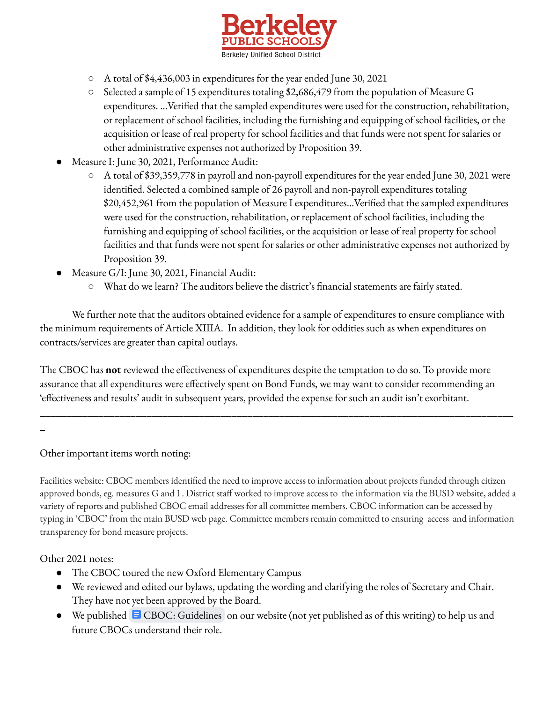

- A total of \$4,436,003 in expenditures for the year ended June 30, 2021
- Selected a sample of 15 expenditures totaling \$2,686,479 from the population of Measure G expenditures. …Verified that the sampled expenditures were used for the construction, rehabilitation, or replacement of school facilities, including the furnishing and equipping of school facilities, or the acquisition or lease of real property for school facilities and that funds were not spent for salaries or other administrative expenses not authorized by Proposition 39.
- Measure I: June 30, 2021, Performance Audit:
	- A total of \$39,359,778 in payroll and non-payroll expenditures for the year ended June 30, 2021 were identified. Selected a combined sample of 26 payroll and non-payroll expenditures totaling \$20,452,961 from the population of Measure I expenditures…Verified that the sampled expenditures were used for the construction, rehabilitation, or replacement of school facilities, including the furnishing and equipping of school facilities, or the acquisition or lease of real property for school facilities and that funds were not spent for salaries or other administrative expenses not authorized by Proposition 39.
- Measure G/I: June 30, 2021, Financial Audit:
	- What do we learn? The auditors believe the district's financial statements are fairly stated.

We further note that the auditors obtained evidence for a sample of expenditures to ensure compliance with the minimum requirements of Article XIIIA. In addition, they look for oddities such as when expenditures on contracts/services are greater than capital outlays.

The CBOC has **not** reviewed the effectiveness of expenditures despite the temptation to do so. To provide more assurance that all expenditures were effectively spent on Bond Funds, we may want to consider recommending an 'effectiveness and results' audit in subsequent years, provided the expense for such an audit isn't exorbitant.

\_\_\_\_\_\_\_\_\_\_\_\_\_\_\_\_\_\_\_\_\_\_\_\_\_\_\_\_\_\_\_\_\_\_\_\_\_\_\_\_\_\_\_\_\_\_\_\_\_\_\_\_\_\_\_\_\_\_\_\_\_\_\_\_\_\_\_\_\_\_\_\_\_\_\_\_\_\_\_\_\_\_\_\_\_\_\_\_\_

 $\overline{a}$ 

Other important items worth noting:

Facilities website: CBOC members identified the need to improve access to information about projects funded through citizen approved bonds, eg. measures G and I . District staff worked to improve access to the information via the BUSD website, added a variety of reports and published CBOC email addresses for all committee members. CBOC information can be accessed by typing in 'CBOC' from the main BUSD web page. Committee members remain committed to ensuring access and information transparency for bond measure projects.

Other 2021 notes:

- The CBOC toured the new Oxford Elementary Campus
- We reviewed and edited our bylaws, updating the wording and clarifying the roles of Secretary and Chair. They have not yet been approved by the Board.
- We published CBOC: [Guidelines](https://docs.google.com/document/d/1kN3MZ0Ehy1J5u5eTfgJ3BjDo30LTQGRpvZ4X-lfnI5M/edit) on our website (not yet published as of this writing) to help us and future CBOCs understand their role.